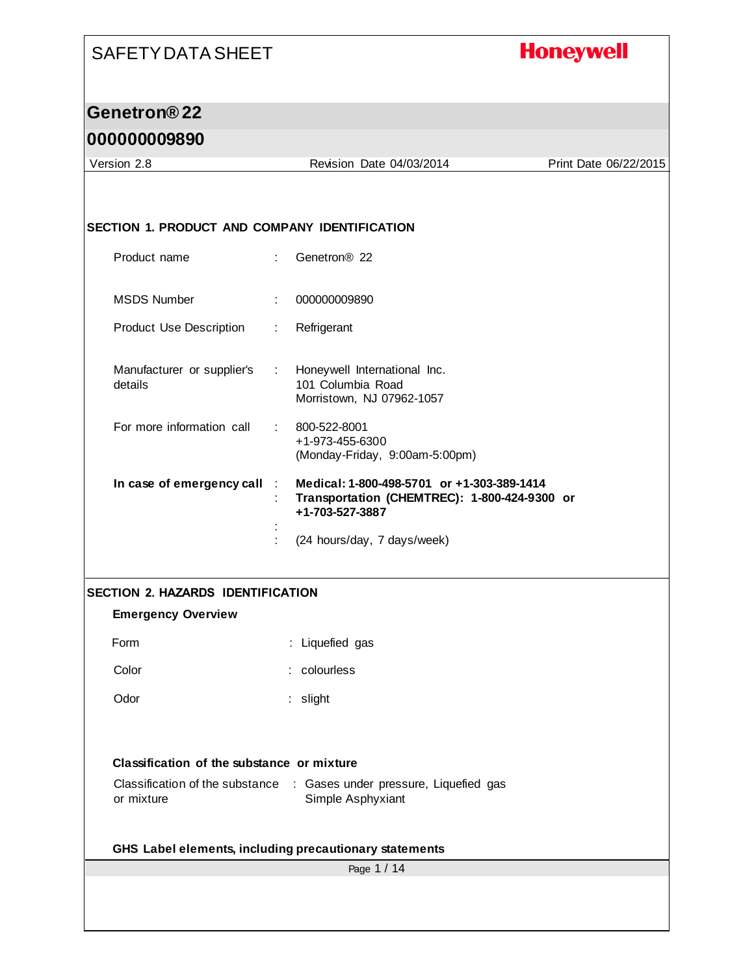#### **Honeywell**

#### **Genetron® 22**

#### **000000009890**

Page 1 / 14 Version 2.8 Revision Date 04/03/2014 Print Date 06/22/2015 **SECTION 1. PRODUCT AND COMPANY IDENTIFICATION** Product name : Genetron® 22 MSDS Number : 000000009890 Product Use Description : Refrigerant Manufacturer or supplier's : details : Honeywell International Inc. 101 Columbia Road Morristown, NJ 07962-1057 For more information call : 800-522-8001 +1-973-455-6300 (Monday-Friday, 9:00am-5:00pm) **In case of emergency call** : **Medical: 1-800-498-5701 or +1-303-389-1414** : **Transportation (CHEMTREC): 1-800-424-9300 or +1-703-527-3887** : : (24 hours/day, 7 days/week) **SECTION 2. HAZARDS IDENTIFICATION Emergency Overview** Form : Liquefied gas Color : colourless Odor : slight **Classification of the substance or mixture** Classification of the substance : Gases under pressure, Liquefied gas or mixture Simple Asphyxiant **GHS Label elements, including precautionary statements**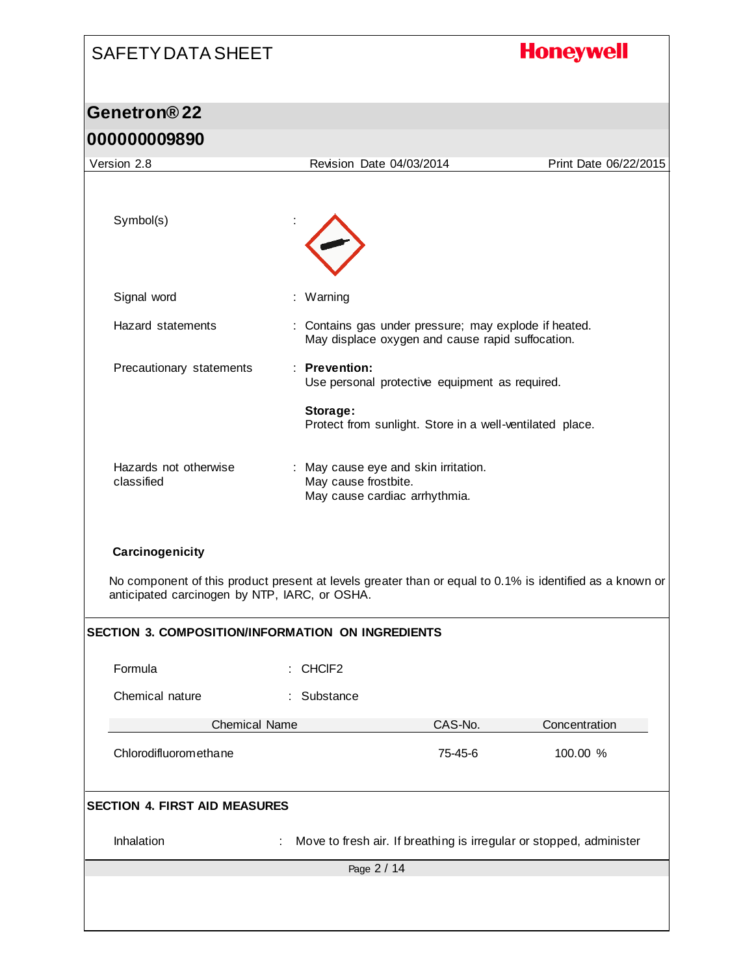# SAFETY DATA SHEET **Honeywell Genetron® 22 000000009890** Version 2.8 Revision Date 04/03/2014 Print Date 06/22/2015 Symbol(s) Signal word : Warning Hazard statements : Contains gas under pressure; may explode if heated. May displace oxygen and cause rapid suffocation. Precautionary statements : **Prevention:**  Use personal protective equipment as required. **Storage:**  Protect from sunlight. Store in a well-ventilated place. Hazards not otherwise : May cause eye and skin irritation. classified May cause frostbite. May cause cardiac arrhythmia. **Carcinogenicity** No component of this product present at levels greater than or equal to 0.1% is identified as a known or anticipated carcinogen by NTP, IARC, or OSHA. **SECTION 3. COMPOSITION/INFORMATION ON INGREDIENTS** Formula : CHClF2 Chemical nature : Substance Chemical Name CAS-No. CAS-No. Concentration Chlorodifluoromethane 75-45-6 100.00 % **SECTION 4. FIRST AID MEASURES** Inhalation : Move to fresh air. If breathing is irregular or stopped, administer Page 2 / 14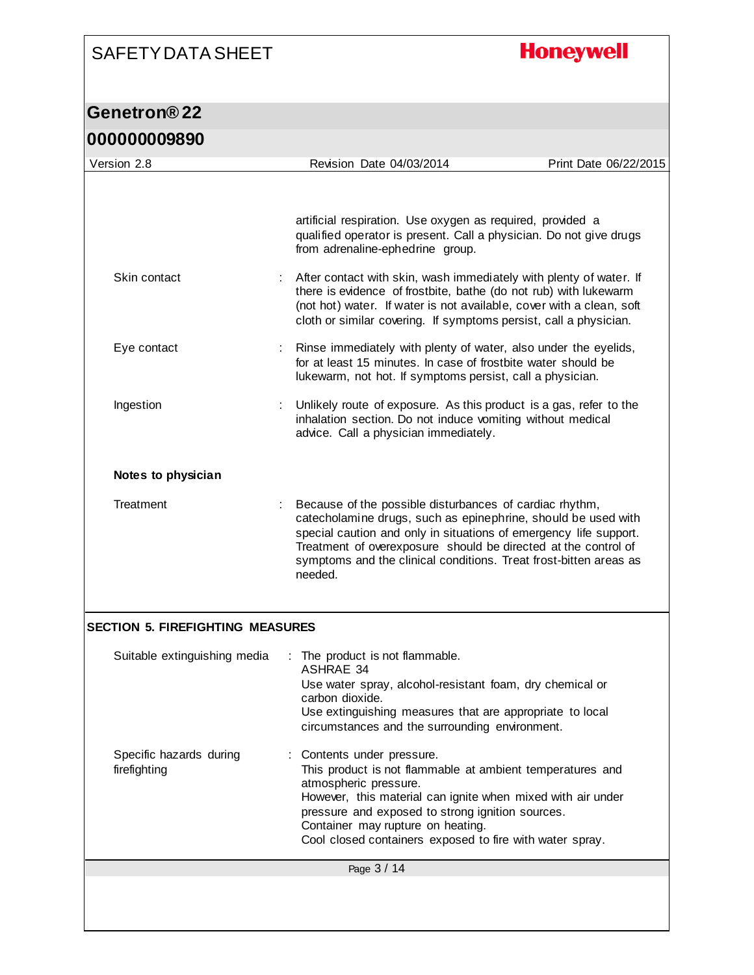## **Honeywell**

| <u>nnnnnnnaoan</u>                      |                                                                                                                                                                                                                                                                                                                                                 |                       |  |
|-----------------------------------------|-------------------------------------------------------------------------------------------------------------------------------------------------------------------------------------------------------------------------------------------------------------------------------------------------------------------------------------------------|-----------------------|--|
| Version 2.8                             | Revision Date 04/03/2014                                                                                                                                                                                                                                                                                                                        | Print Date 06/22/2015 |  |
|                                         | artificial respiration. Use oxygen as required, provided a<br>qualified operator is present. Call a physician. Do not give drugs<br>from adrenaline-ephedrine group.                                                                                                                                                                            |                       |  |
| Skin contact                            | After contact with skin, wash immediately with plenty of water. If<br>there is evidence of frostbite, bathe (do not rub) with lukewarm<br>(not hot) water. If water is not available, cover with a clean, soft<br>cloth or similar covering. If symptoms persist, call a physician.                                                             |                       |  |
| Eye contact                             | Rinse immediately with plenty of water, also under the eyelids,<br>for at least 15 minutes. In case of frostbite water should be<br>lukewarm, not hot. If symptoms persist, call a physician.                                                                                                                                                   |                       |  |
| Ingestion                               | Unlikely route of exposure. As this product is a gas, refer to the<br>inhalation section. Do not induce vomiting without medical<br>advice. Call a physician immediately.                                                                                                                                                                       |                       |  |
| Notes to physician                      |                                                                                                                                                                                                                                                                                                                                                 |                       |  |
| Treatment                               | Because of the possible disturbances of cardiac rhythm,<br>catecholamine drugs, such as epinephrine, should be used with<br>special caution and only in situations of emergency life support.<br>Treatment of overexposure should be directed at the control of<br>symptoms and the clinical conditions. Treat frost-bitten areas as<br>needed. |                       |  |
| <b>SECTION 5. FIREFIGHTING MEASURES</b> |                                                                                                                                                                                                                                                                                                                                                 |                       |  |
| Suitable extinguishing media            | : The product is not flammable.<br><b>ASHRAE 34</b><br>Use water spray, alcohol-resistant foam, dry chemical or<br>carbon dioxide.<br>Use extinguishing measures that are appropriate to local<br>circumstances and the surrounding environment.                                                                                                |                       |  |
| Specific hazards during<br>firefighting | : Contents under pressure.<br>This product is not flammable at ambient temperatures and<br>atmospheric pressure.<br>However, this material can ignite when mixed with air under<br>pressure and exposed to strong ignition sources.<br>Container may rupture on heating.<br>Cool closed containers exposed to fire with water spray.            |                       |  |
|                                         | Page 3 / 14                                                                                                                                                                                                                                                                                                                                     |                       |  |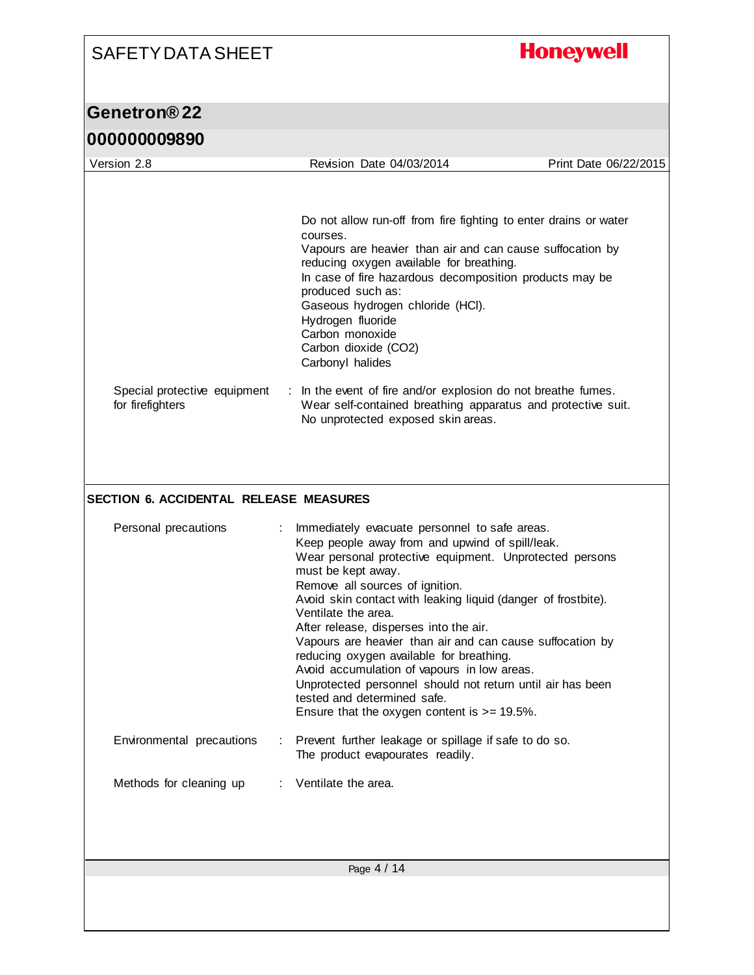| <b>SAFETY DATA SHEET</b>                         |                                                                                                                                                                                                                                                                                                                                                                                                                                                                                                                                                                                                                                                                | <b>Honeywell</b>      |
|--------------------------------------------------|----------------------------------------------------------------------------------------------------------------------------------------------------------------------------------------------------------------------------------------------------------------------------------------------------------------------------------------------------------------------------------------------------------------------------------------------------------------------------------------------------------------------------------------------------------------------------------------------------------------------------------------------------------------|-----------------------|
| Genetron®22                                      |                                                                                                                                                                                                                                                                                                                                                                                                                                                                                                                                                                                                                                                                |                       |
| 000000009890                                     |                                                                                                                                                                                                                                                                                                                                                                                                                                                                                                                                                                                                                                                                |                       |
| Version 2.8                                      | Revision Date 04/03/2014                                                                                                                                                                                                                                                                                                                                                                                                                                                                                                                                                                                                                                       | Print Date 06/22/2015 |
| Special protective equipment<br>for firefighters | Do not allow run-off from fire fighting to enter drains or water<br>courses.<br>Vapours are heavier than air and can cause suffocation by<br>reducing oxygen available for breathing.<br>In case of fire hazardous decomposition products may be<br>produced such as:<br>Gaseous hydrogen chloride (HCI).<br>Hydrogen fluoride<br>Carbon monoxide<br>Carbon dioxide (CO2)<br>Carbonyl halides<br>: In the event of fire and/or explosion do not breathe fumes.<br>Wear self-contained breathing apparatus and protective suit.<br>No unprotected exposed skin areas.                                                                                           |                       |
| <b>SECTION 6. ACCIDENTAL RELEASE MEASURES</b>    |                                                                                                                                                                                                                                                                                                                                                                                                                                                                                                                                                                                                                                                                |                       |
| Personal precautions<br>÷.                       | Immediately evacuate personnel to safe areas.<br>Keep people away from and upwind of spill/leak.<br>Wear personal protective equipment. Unprotected persons<br>must be kept away.<br>Remove all sources of ignition.<br>Avoid skin contact with leaking liquid (danger of frostbite).<br>Ventilate the area.<br>After release, disperses into the air.<br>Vapours are heavier than air and can cause suffocation by<br>reducing oxygen available for breathing.<br>Avoid accumulation of vapours in low areas.<br>Unprotected personnel should not return until air has been<br>tested and determined safe.<br>Ensure that the oxygen content is $>= 19.5\%$ . |                       |
| Environmental precautions<br>÷                   | Prevent further leakage or spillage if safe to do so.<br>The product evapourates readily.                                                                                                                                                                                                                                                                                                                                                                                                                                                                                                                                                                      |                       |
| Methods for cleaning up                          | Ventilate the area.                                                                                                                                                                                                                                                                                                                                                                                                                                                                                                                                                                                                                                            |                       |
|                                                  | Page 4 / 14                                                                                                                                                                                                                                                                                                                                                                                                                                                                                                                                                                                                                                                    |                       |
|                                                  |                                                                                                                                                                                                                                                                                                                                                                                                                                                                                                                                                                                                                                                                |                       |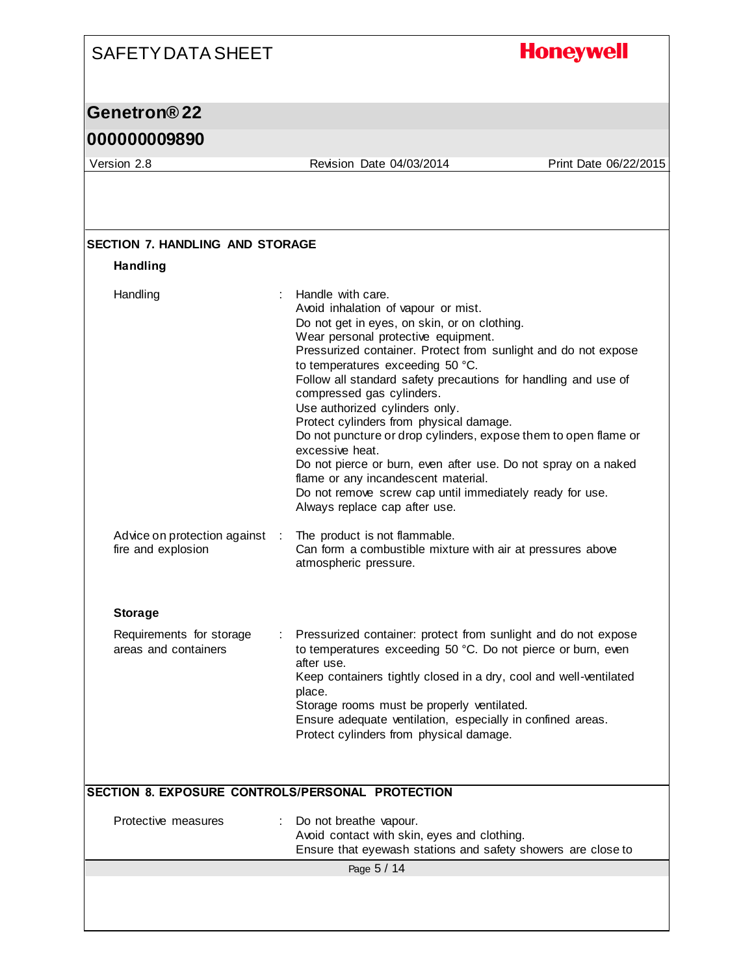### **Honeywell**

### **Genetron® 22**

#### **000000009890**

Version 2.8 Revision Date 04/03/2014 Print Date 06/22/2015

| <b>Handling</b>                                    |                                                                                                                                                                                                                                                                                                                                                                                                                                                                                                                                                                                                                                                                                                                                 |
|----------------------------------------------------|---------------------------------------------------------------------------------------------------------------------------------------------------------------------------------------------------------------------------------------------------------------------------------------------------------------------------------------------------------------------------------------------------------------------------------------------------------------------------------------------------------------------------------------------------------------------------------------------------------------------------------------------------------------------------------------------------------------------------------|
| Handling                                           | : Handle with care.<br>Avoid inhalation of vapour or mist.<br>Do not get in eyes, on skin, or on clothing.<br>Wear personal protective equipment.<br>Pressurized container. Protect from sunlight and do not expose<br>to temperatures exceeding 50 °C.<br>Follow all standard safety precautions for handling and use of<br>compressed gas cylinders.<br>Use authorized cylinders only.<br>Protect cylinders from physical damage.<br>Do not puncture or drop cylinders, expose them to open flame or<br>excessive heat.<br>Do not pierce or burn, even after use. Do not spray on a naked<br>flame or any incandescent material.<br>Do not remove screw cap until immediately ready for use.<br>Always replace cap after use. |
| Advice on protection against<br>fire and explosion | The product is not flammable.<br>Can form a combustible mixture with air at pressures above<br>atmospheric pressure.                                                                                                                                                                                                                                                                                                                                                                                                                                                                                                                                                                                                            |
| <b>Storage</b>                                     |                                                                                                                                                                                                                                                                                                                                                                                                                                                                                                                                                                                                                                                                                                                                 |
| Requirements for storage<br>areas and containers   | Pressurized container: protect from sunlight and do not expose<br>to temperatures exceeding 50 °C. Do not pierce or burn, even<br>after use.<br>Keep containers tightly closed in a dry, cool and well-ventilated<br>place.<br>Storage rooms must be properly ventilated.<br>Ensure adequate ventilation, especially in confined areas.<br>Protect cylinders from physical damage.                                                                                                                                                                                                                                                                                                                                              |
|                                                    | SECTION 8. EXPOSURE CONTROLS/PERSONAL PROTECTION                                                                                                                                                                                                                                                                                                                                                                                                                                                                                                                                                                                                                                                                                |
| Protective measures                                | Do not breathe vapour.<br>Avoid contact with skin, eyes and clothing.<br>Ensure that eyewash stations and safety showers are close to                                                                                                                                                                                                                                                                                                                                                                                                                                                                                                                                                                                           |
|                                                    | Page 5 / 14                                                                                                                                                                                                                                                                                                                                                                                                                                                                                                                                                                                                                                                                                                                     |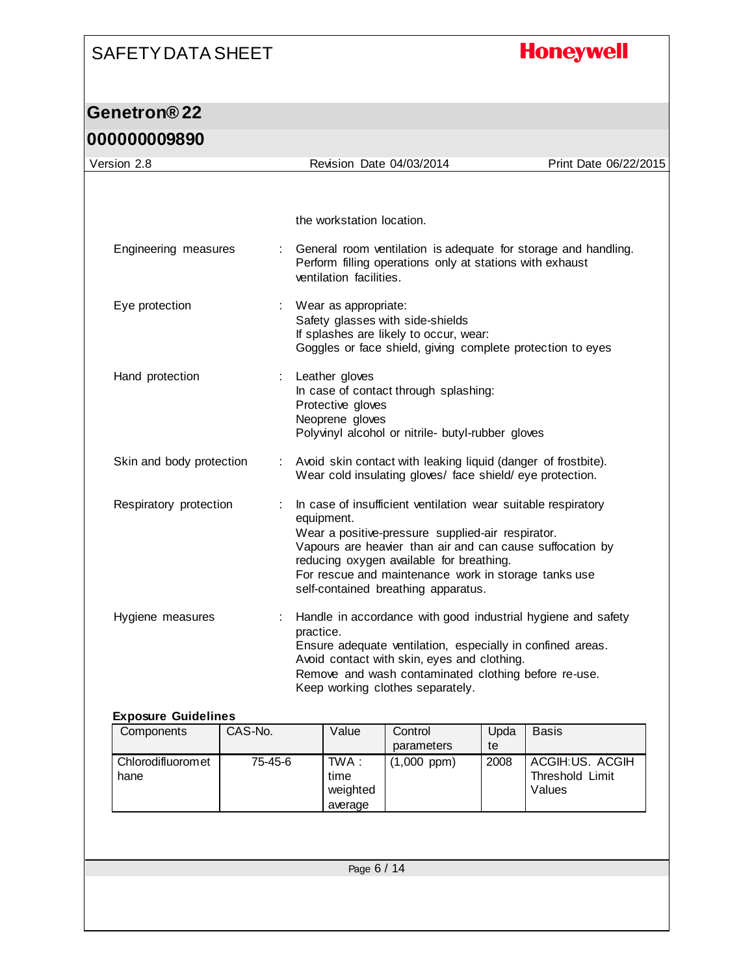## **Honeywell**

| Version 2.8                              |         |                                                                                                                                                                  |                                                                                                                                                                                                                                                               | Revision Date 04/03/2014                                                                                                                                                                              |                                                           | Print Date 06/22/2015                                        |
|------------------------------------------|---------|------------------------------------------------------------------------------------------------------------------------------------------------------------------|---------------------------------------------------------------------------------------------------------------------------------------------------------------------------------------------------------------------------------------------------------------|-------------------------------------------------------------------------------------------------------------------------------------------------------------------------------------------------------|-----------------------------------------------------------|--------------------------------------------------------------|
|                                          |         |                                                                                                                                                                  |                                                                                                                                                                                                                                                               |                                                                                                                                                                                                       |                                                           |                                                              |
|                                          |         |                                                                                                                                                                  |                                                                                                                                                                                                                                                               |                                                                                                                                                                                                       |                                                           |                                                              |
|                                          |         |                                                                                                                                                                  | the workstation location.                                                                                                                                                                                                                                     |                                                                                                                                                                                                       |                                                           |                                                              |
| Engineering measures                     |         | General room ventilation is adequate for storage and handling.<br>Perform filling operations only at stations with exhaust<br>ventilation facilities.            |                                                                                                                                                                                                                                                               |                                                                                                                                                                                                       |                                                           |                                                              |
| Eye protection                           |         | Wear as appropriate:<br>Safety glasses with side-shields<br>If splashes are likely to occur, wear:<br>Goggles or face shield, giving complete protection to eyes |                                                                                                                                                                                                                                                               |                                                                                                                                                                                                       |                                                           |                                                              |
| Hand protection<br>÷                     |         | Leather gloves<br>In case of contact through splashing:<br>Protective gloves<br>Neoprene gloves<br>Polyvinyl alcohol or nitrile- butyl-rubber gloves             |                                                                                                                                                                                                                                                               |                                                                                                                                                                                                       |                                                           |                                                              |
| Skin and body protection                 |         |                                                                                                                                                                  | : Avoid skin contact with leaking liquid (danger of frostbite).<br>Wear cold insulating gloves/ face shield/ eye protection.                                                                                                                                  |                                                                                                                                                                                                       |                                                           |                                                              |
| Respiratory protection                   |         | equipment.                                                                                                                                                       | In case of insufficient ventilation wear suitable respiratory<br>Wear a positive-pressure supplied-air respirator.<br>reducing oxygen available for breathing.<br>For rescue and maintenance work in storage tanks use<br>self-contained breathing apparatus. |                                                                                                                                                                                                       | Vapours are heavier than air and can cause suffocation by |                                                              |
| Hygiene measures<br>practice.            |         |                                                                                                                                                                  |                                                                                                                                                                                                                                                               | Ensure adequate ventilation, especially in confined areas.<br>Avoid contact with skin, eyes and clothing.<br>Remove and wash contaminated clothing before re-use.<br>Keep working clothes separately. |                                                           | Handle in accordance with good industrial hygiene and safety |
| <b>Exposure Guidelines</b><br>Components | CAS-No. |                                                                                                                                                                  | Value                                                                                                                                                                                                                                                         | Control                                                                                                                                                                                               | Upda                                                      | <b>Basis</b>                                                 |
|                                          |         |                                                                                                                                                                  |                                                                                                                                                                                                                                                               | parameters                                                                                                                                                                                            | te                                                        |                                                              |
| Chlorodifluoromet<br>hane                | 75-45-6 |                                                                                                                                                                  | TWA:<br>time<br>weighted<br>average                                                                                                                                                                                                                           | $(1,000$ ppm $)$                                                                                                                                                                                      | 2008                                                      | ACGIH:US. ACGIH<br>Threshold Limit<br>Values                 |
|                                          |         |                                                                                                                                                                  |                                                                                                                                                                                                                                                               |                                                                                                                                                                                                       |                                                           |                                                              |
|                                          |         |                                                                                                                                                                  | Page 6 / 14                                                                                                                                                                                                                                                   |                                                                                                                                                                                                       |                                                           |                                                              |
|                                          |         |                                                                                                                                                                  |                                                                                                                                                                                                                                                               |                                                                                                                                                                                                       |                                                           |                                                              |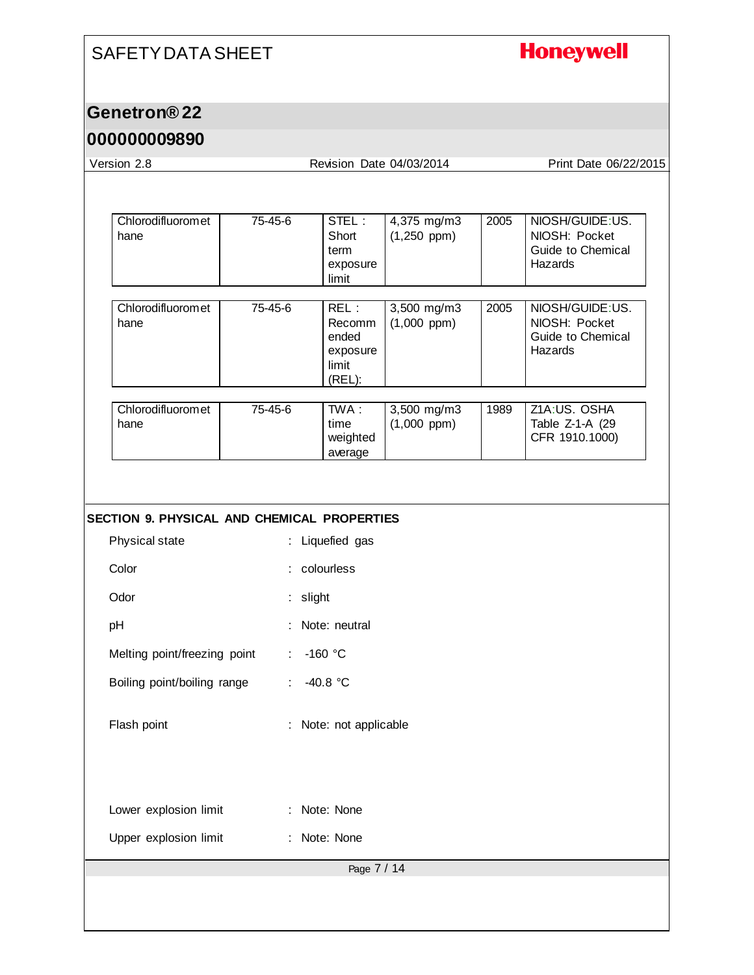## **Honeywell**

### **Genetron® 22**

#### **000000009890**

| Version 2.8                                        |                             |                                                        | Revision Date 04/03/2014        |      | Print Date 06/22/2015                                            |
|----------------------------------------------------|-----------------------------|--------------------------------------------------------|---------------------------------|------|------------------------------------------------------------------|
|                                                    |                             |                                                        |                                 |      |                                                                  |
| Chlorodifluoromet<br>hane                          | 75-45-6                     | STEL:<br>Short<br>term<br>exposure<br>limit            | 4,375 mg/m3<br>$(1,250$ ppm)    | 2005 | NIOSH/GUIDE:US.<br>NIOSH: Pocket<br>Guide to Chemical<br>Hazards |
| Chlorodifluoromet<br>hane                          | 75-45-6                     | REL:<br>Recomm<br>ended<br>exposure<br>limit<br>(REL): | 3,500 mg/m3<br>$(1,000$ ppm $)$ | 2005 | NIOSH/GUIDE:US.<br>NIOSH: Pocket<br>Guide to Chemical<br>Hazards |
| Chlorodifluoromet<br>hane                          | 75-45-6                     | TWA:<br>time<br>weighted<br>average                    | 3,500 mg/m3<br>$(1,000$ ppm)    | 1989 | Z1A:US. OSHA<br>Table Z-1-A (29<br>CFR 1910.1000)                |
|                                                    |                             |                                                        |                                 |      |                                                                  |
| <b>SECTION 9. PHYSICAL AND CHEMICAL PROPERTIES</b> |                             |                                                        |                                 |      |                                                                  |
| Physical state                                     | ÷.                          | Liquefied gas                                          |                                 |      |                                                                  |
| Color                                              |                             | : colourless                                           |                                 |      |                                                                  |
| Odor                                               | slight                      |                                                        |                                 |      |                                                                  |
| pH                                                 |                             | Note: neutral                                          |                                 |      |                                                                  |
| Melting point/freezing point                       | $\mathcal{L}_{\mathcal{A}}$ | $-160$ °C                                              |                                 |      |                                                                  |
| Boiling point/boiling range                        | $\mathcal{L}^{\mathcal{L}}$ | $-40.8 °C$                                             |                                 |      |                                                                  |
| Flash point                                        |                             | Note: not applicable                                   |                                 |      |                                                                  |
| Lower explosion limit                              |                             | Note: None                                             |                                 |      |                                                                  |
| Upper explosion limit                              |                             | Note: None                                             |                                 |      |                                                                  |
|                                                    |                             | Page 7 / 14                                            |                                 |      |                                                                  |
|                                                    |                             |                                                        |                                 |      |                                                                  |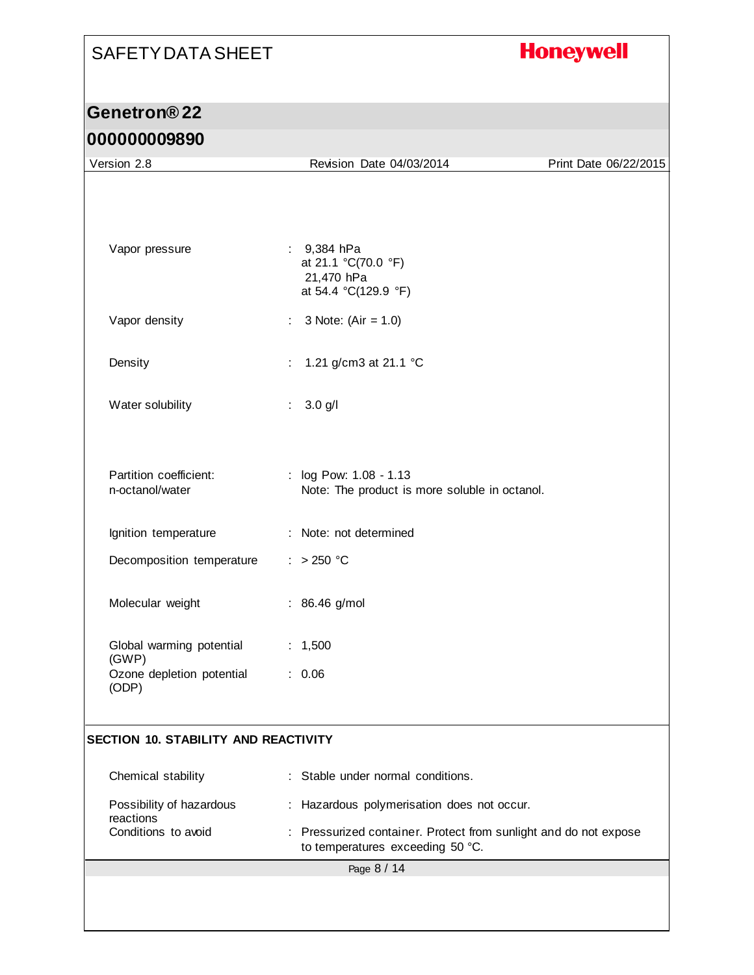## **Honeywell**

### **Genetron® 22**

#### **000000009890**

| <u>uuuuuuuuu</u>                            |                                                                                                      |                       |
|---------------------------------------------|------------------------------------------------------------------------------------------------------|-----------------------|
| Version 2.8                                 | Revision Date 04/03/2014                                                                             | Print Date 06/22/2015 |
|                                             |                                                                                                      |                       |
| Vapor pressure                              | : $9,384$ hPa<br>at 21.1 °C(70.0 °F)<br>21,470 hPa<br>at 54.4 °C(129.9 °F)                           |                       |
| Vapor density                               | 3 Note: $(Air = 1.0)$                                                                                |                       |
| Density                                     | 1.21 g/cm3 at 21.1 °C<br>÷                                                                           |                       |
| Water solubility                            | 3.0 g/l<br>÷.                                                                                        |                       |
| Partition coefficient:<br>n-octanol/water   | : log Pow: 1.08 - 1.13<br>Note: The product is more soluble in octanol.                              |                       |
| Ignition temperature                        | : Note: not determined                                                                               |                       |
| Decomposition temperature                   | : $> 250 °C$                                                                                         |                       |
| Molecular weight                            | : 86.46 g/mol                                                                                        |                       |
| Global warming potential<br>(GWP)           | : 1,500                                                                                              |                       |
| Ozone depletion potential<br>(ODP)          | : 0.06                                                                                               |                       |
| <b>SECTION 10. STABILITY AND REACTIVITY</b> |                                                                                                      |                       |
| Chemical stability                          | Stable under normal conditions.                                                                      |                       |
| Possibility of hazardous<br>reactions       | : Hazardous polymerisation does not occur.                                                           |                       |
| Conditions to avoid                         | : Pressurized container. Protect from sunlight and do not expose<br>to temperatures exceeding 50 °C. |                       |
|                                             | Page 8 / 14                                                                                          |                       |
|                                             |                                                                                                      |                       |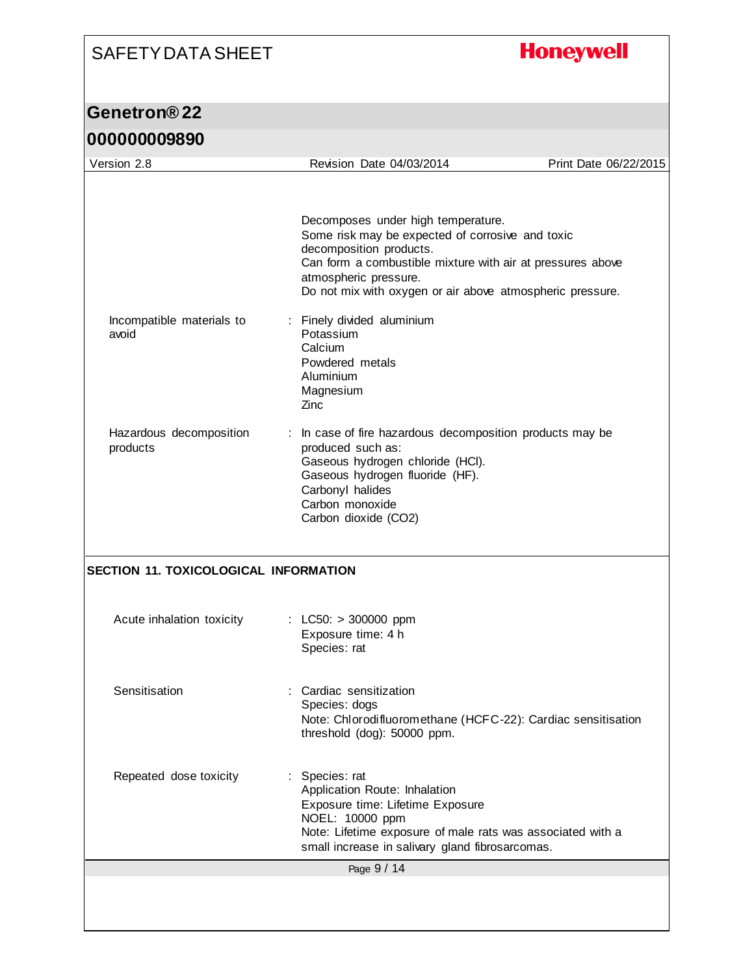## **Honeywell**

|                                              | Decomposes under high temperature.<br>Some risk may be expected of corrosive and toxic<br>decomposition products.<br>Can form a combustible mixture with air at pressures above<br>atmospheric pressure.<br>Do not mix with oxygen or air above atmospheric pressure. |  |
|----------------------------------------------|-----------------------------------------------------------------------------------------------------------------------------------------------------------------------------------------------------------------------------------------------------------------------|--|
| Incompatible materials to<br>avoid           | : Finely divided aluminium<br>Potassium<br>Calcium<br>Powdered metals<br>Aluminium<br>Magnesium<br>Zinc                                                                                                                                                               |  |
| Hazardous decomposition<br>products          | : In case of fire hazardous decomposition products may be<br>produced such as:<br>Gaseous hydrogen chloride (HCI).<br>Gaseous hydrogen fluoride (HF).<br>Carbonyl halides<br>Carbon monoxide<br>Carbon dioxide (CO2)                                                  |  |
|                                              |                                                                                                                                                                                                                                                                       |  |
| <b>SECTION 11. TOXICOLOGICAL INFORMATION</b> |                                                                                                                                                                                                                                                                       |  |
| Acute inhalation toxicity                    | : LC50: $> 300000$ ppm<br>Exposure time: 4 h<br>Species: rat                                                                                                                                                                                                          |  |
| Sensitisation                                | : Cardiac sensitization<br>Species: dogs<br>Note: Chlorodifluoromethane (HCFC-22): Cardiac sensitisation<br>threshold (dog): 50000 ppm.                                                                                                                               |  |
| Repeated dose toxicity                       | : Species: rat<br>Application Route: Inhalation<br>Exposure time: Lifetime Exposure<br>NOEL: 10000 ppm<br>Note: Lifetime exposure of male rats was associated with a<br>small increase in salivary gland fibrosarcomas.                                               |  |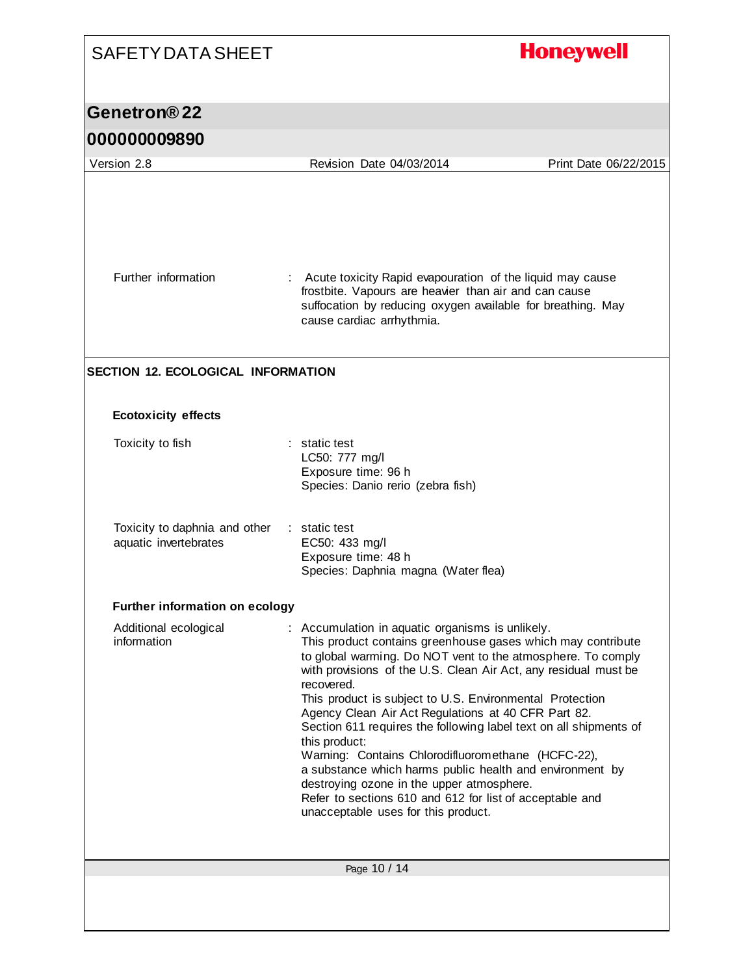| <b>SAFETY DATA SHEET</b>                               |                                                                                                                                                                                                                                                                                                                                                                                                                                                                                                                                                                                                                                                                                                                                            | <b>Honeywell</b>      |
|--------------------------------------------------------|--------------------------------------------------------------------------------------------------------------------------------------------------------------------------------------------------------------------------------------------------------------------------------------------------------------------------------------------------------------------------------------------------------------------------------------------------------------------------------------------------------------------------------------------------------------------------------------------------------------------------------------------------------------------------------------------------------------------------------------------|-----------------------|
| Genetron®22                                            |                                                                                                                                                                                                                                                                                                                                                                                                                                                                                                                                                                                                                                                                                                                                            |                       |
| 000000009890                                           |                                                                                                                                                                                                                                                                                                                                                                                                                                                                                                                                                                                                                                                                                                                                            |                       |
| Version 2.8                                            | Revision Date 04/03/2014                                                                                                                                                                                                                                                                                                                                                                                                                                                                                                                                                                                                                                                                                                                   | Print Date 06/22/2015 |
| Further information                                    | Acute toxicity Rapid evapouration of the liquid may cause<br>frostbite. Vapours are heavier than air and can cause                                                                                                                                                                                                                                                                                                                                                                                                                                                                                                                                                                                                                         |                       |
| <b>SECTION 12. ECOLOGICAL INFORMATION</b>              | suffocation by reducing oxygen available for breathing. May<br>cause cardiac arrhythmia.                                                                                                                                                                                                                                                                                                                                                                                                                                                                                                                                                                                                                                                   |                       |
| <b>Ecotoxicity effects</b>                             |                                                                                                                                                                                                                                                                                                                                                                                                                                                                                                                                                                                                                                                                                                                                            |                       |
| Toxicity to fish                                       | : static test<br>LC50: 777 mg/l<br>Exposure time: 96 h<br>Species: Danio rerio (zebra fish)                                                                                                                                                                                                                                                                                                                                                                                                                                                                                                                                                                                                                                                |                       |
| Toxicity to daphnia and other<br>aquatic invertebrates | $:$ static test<br>EC50: 433 mg/l<br>Exposure time: 48 h<br>Species: Daphnia magna (Water flea)                                                                                                                                                                                                                                                                                                                                                                                                                                                                                                                                                                                                                                            |                       |
| Further information on ecology                         |                                                                                                                                                                                                                                                                                                                                                                                                                                                                                                                                                                                                                                                                                                                                            |                       |
| Additional ecological<br>information                   | : Accumulation in aquatic organisms is unlikely.<br>This product contains greenhouse gases which may contribute<br>to global warming. Do NOT vent to the atmosphere. To comply<br>with provisions of the U.S. Clean Air Act, any residual must be<br>recovered.<br>This product is subject to U.S. Environmental Protection<br>Agency Clean Air Act Regulations at 40 CFR Part 82.<br>Section 611 requires the following label text on all shipments of<br>this product:<br>Warning: Contains Chlorodifluoromethane (HCFC-22),<br>a substance which harms public health and environment by<br>destroying ozone in the upper atmosphere.<br>Refer to sections 610 and 612 for list of acceptable and<br>unacceptable uses for this product. |                       |
|                                                        | Page 10 / 14                                                                                                                                                                                                                                                                                                                                                                                                                                                                                                                                                                                                                                                                                                                               |                       |
|                                                        |                                                                                                                                                                                                                                                                                                                                                                                                                                                                                                                                                                                                                                                                                                                                            |                       |

I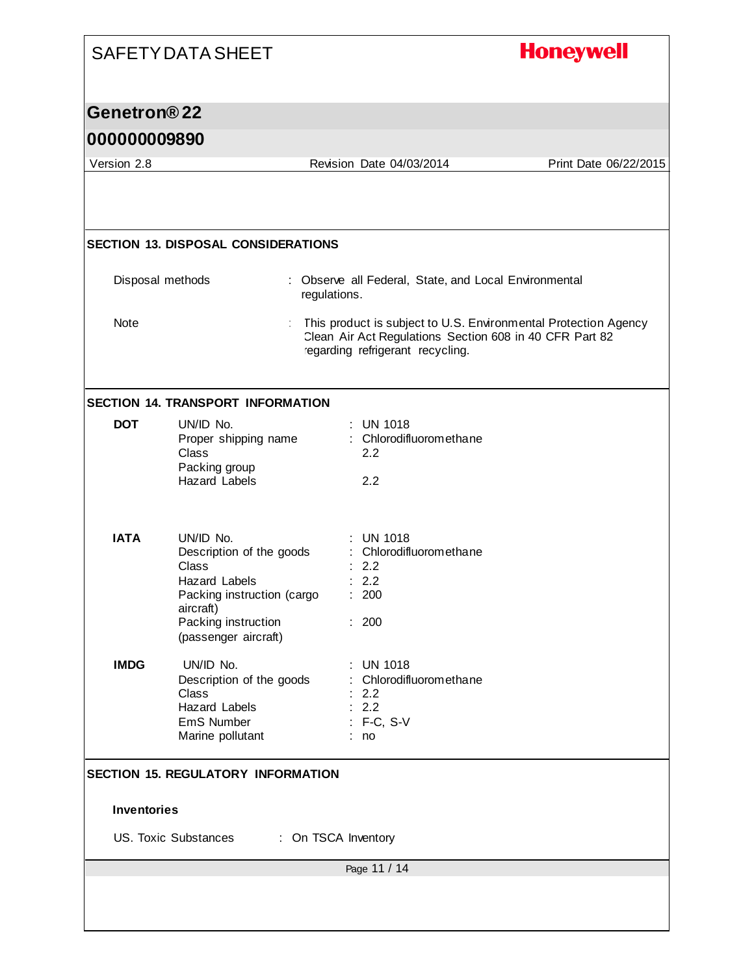|                          | <b>SAFETY DATA SHEET</b>                                                                                                                                         |                                                                                                                                                                | <b>Honeywell</b>      |
|--------------------------|------------------------------------------------------------------------------------------------------------------------------------------------------------------|----------------------------------------------------------------------------------------------------------------------------------------------------------------|-----------------------|
| Genetron <sup>®</sup> 22 |                                                                                                                                                                  |                                                                                                                                                                |                       |
| 000000009890             |                                                                                                                                                                  |                                                                                                                                                                |                       |
| Version 2.8              |                                                                                                                                                                  | Revision Date 04/03/2014                                                                                                                                       | Print Date 06/22/2015 |
|                          |                                                                                                                                                                  |                                                                                                                                                                |                       |
|                          | <b>SECTION 13. DISPOSAL CONSIDERATIONS</b>                                                                                                                       |                                                                                                                                                                |                       |
|                          | Disposal methods                                                                                                                                                 | : Observe all Federal, State, and Local Environmental<br>regulations.                                                                                          |                       |
| Note                     |                                                                                                                                                                  | This product is subject to U.S. Environmental Protection Agency<br>Clean Air Act Regulations Section 608 in 40 CFR Part 82<br>regarding refrigerant recycling. |                       |
|                          | <b>SECTION 14. TRANSPORT INFORMATION</b>                                                                                                                         |                                                                                                                                                                |                       |
| <b>DOT</b>               | UN/ID No.<br>Proper shipping name<br><b>Class</b><br>Packing group<br><b>Hazard Labels</b>                                                                       | : UN 1018<br>: Chlorodifluoromethane<br>2.2<br>2.2                                                                                                             |                       |
| <b>IATA</b>              | UN/ID No.<br>Description of the goods<br>Class<br><b>Hazard Labels</b><br>Packing instruction (cargo<br>aircraft)<br>Packing instruction<br>(passenger aircraft) | <b>UN 1018</b><br>Chlorodifluoromethane<br>2.2<br>2.2<br>200<br>: 200                                                                                          |                       |
| <b>IMDG</b>              | UN/ID No.<br>Description of the goods<br>Class<br><b>Hazard Labels</b><br>EmS Number<br>Marine pollutant                                                         | <b>UN 1018</b><br>Chlorodifluoromethane<br>2.2<br>: 2.2<br>: F-C, S-V<br>no                                                                                    |                       |
| <b>Inventories</b>       | <b>SECTION 15. REGULATORY INFORMATION</b>                                                                                                                        |                                                                                                                                                                |                       |
|                          | US. Toxic Substances                                                                                                                                             | : On TSCA Inventory                                                                                                                                            |                       |
|                          |                                                                                                                                                                  | Page 11 / 14                                                                                                                                                   |                       |
|                          |                                                                                                                                                                  |                                                                                                                                                                |                       |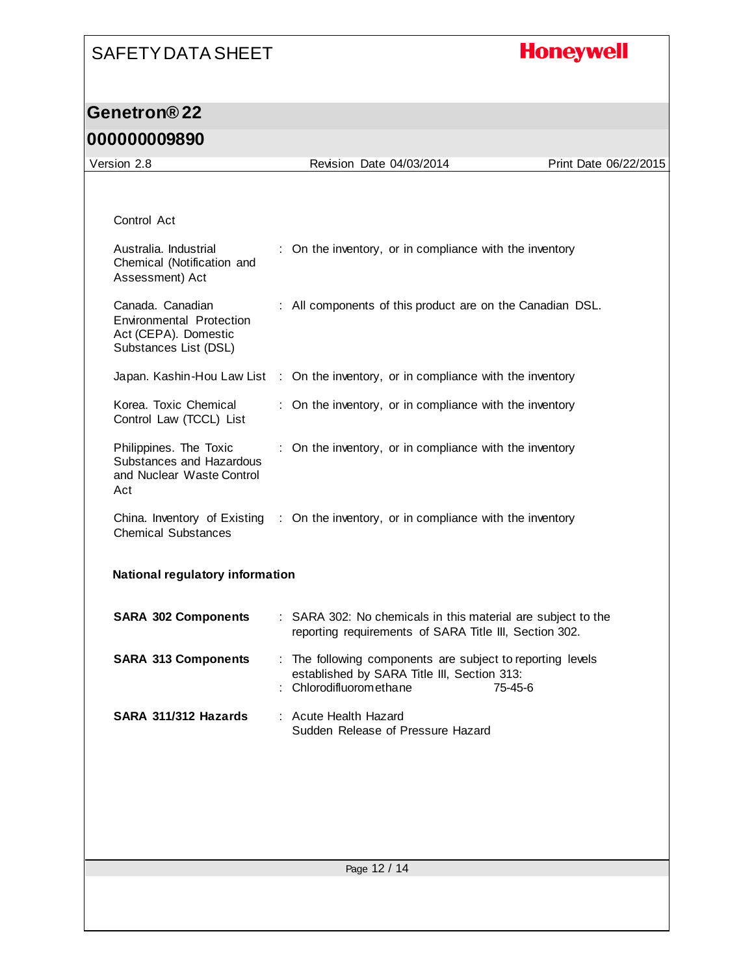## **Honeywell**

| Version 2.8                                                                                   | Revision Date 04/03/2014                                                                                                             | Print Date 06/22/2015 |
|-----------------------------------------------------------------------------------------------|--------------------------------------------------------------------------------------------------------------------------------------|-----------------------|
|                                                                                               |                                                                                                                                      |                       |
| Control Act                                                                                   |                                                                                                                                      |                       |
| Australia. Industrial<br>Chemical (Notification and<br>Assessment) Act                        | : On the inventory, or in compliance with the inventory                                                                              |                       |
| Canada. Canadian<br>Environmental Protection<br>Act (CEPA). Domestic<br>Substances List (DSL) | : All components of this product are on the Canadian DSL.                                                                            |                       |
|                                                                                               | Japan. Kashin-Hou Law List : On the inventory, or in compliance with the inventory                                                   |                       |
| Korea. Toxic Chemical<br>Control Law (TCCL) List                                              | : On the inventory, or in compliance with the inventory                                                                              |                       |
| Philippines. The Toxic<br>Substances and Hazardous<br>and Nuclear Waste Control<br>Act        | : On the inventory, or in compliance with the inventory                                                                              |                       |
| <b>Chemical Substances</b>                                                                    | China. Inventory of Existing : On the inventory, or in compliance with the inventory                                                 |                       |
| National regulatory information                                                               |                                                                                                                                      |                       |
| <b>SARA 302 Components</b>                                                                    | : SARA 302: No chemicals in this material are subject to the<br>reporting requirements of SARA Title III, Section 302.               |                       |
| <b>SARA 313 Components</b>                                                                    | : The following components are subject to reporting levels<br>established by SARA Title III, Section 313:<br>: Chlorodifluoromethane | 75-45-6               |
| SARA 311/312 Hazards                                                                          | : Acute Health Hazard<br>Sudden Release of Pressure Hazard                                                                           |                       |
|                                                                                               |                                                                                                                                      |                       |
|                                                                                               |                                                                                                                                      |                       |
|                                                                                               |                                                                                                                                      |                       |
|                                                                                               |                                                                                                                                      |                       |
|                                                                                               | Page 12 / 14                                                                                                                         |                       |
|                                                                                               |                                                                                                                                      |                       |
|                                                                                               |                                                                                                                                      |                       |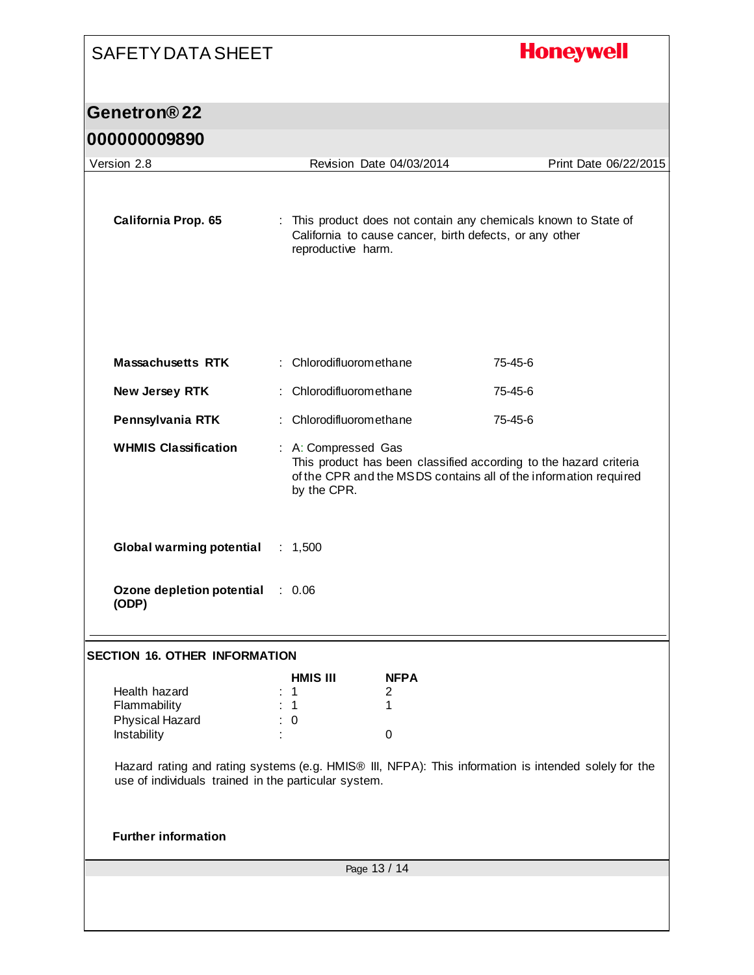# SAFETY DATA SHEET **Honeywell Genetron® 22 000000009890** Version 2.8 Revision Date 04/03/2014 Print Date 06/22/2015 **California Prop. 65** : This product does not contain any chemicals known to State of California to cause cancer, birth defects, or any other reproductive harm. **Massachusetts RTK** : Chlorodifluoromethane 75-45-6 **New Jersey RTK** : Chlorodifluoromethane 75-45-6 **Pennsylvania RTK** : Chlorodifluoromethane 75-45-6 **WHMIS Classification** : A: Compressed Gas This product has been classified according to the hazard criteria of the CPR and the MSDS contains all of the information required by the CPR. **Global warming potential** : 1,500 **Ozone depletion potential**  : 0.06 **(ODP) SECTION 16. OTHER INFORMATION HMIS III NFPA** Health hazard  $\begin{array}{ccc} 1 & 2 \\ 1 & 1 \end{array}$  2 Flammability : 1 1 1 Physical Hazard : 0 Instability in the contract of the contract of the contract of the contract of the contract of the contract of the contract of the contract of the contract of the contract of the contract of the contract of the contract of Hazard rating and rating systems (e.g. HMIS® III, NFPA): This information is intended solely for the use of individuals trained in the particular system. **Further information**Page 13 / 14